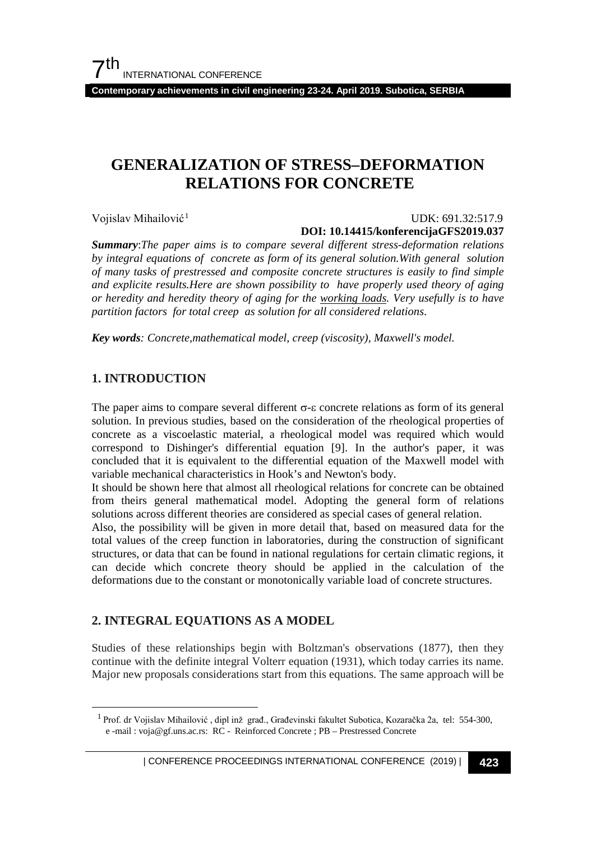**Contemporary achievements in civil engineering 23-24. April 2019. Subotica, SERBIA**

## **GENERALIZATION OF STRESS–DEFORMATION RELATIONS FOR CONCRETE**

Vojislav Mihailović<sup>[1](#page-0-0)</sup>

## UDK: 691.32:517.9 **DOI: 10.14415/konferencijaGFS2019.037**

*Summary*:*The paper aims is to compare several different stress-deformation relations by integral equations of concrete as form of its general solution.With general solution of many tasks of prestressed and composite concrete structures is easily to find simple and explicite results.Here are shown possibility to have properly used theory of aging or heredity and heredity theory of aging for the working loads. Very usefully is to have partition factors for total creep as solution for all considered relations*.

*Key words: Concrete,mathematical model, creep (viscosity), Maxwell's model.*

## **1. INTRODUCTION**

<span id="page-0-0"></span>-

The paper aims to compare several different  $\sigma$ -ε concrete relations as form of its general solution. In previous studies, based on the consideration of the rheological properties of concrete as a viscoelastic material, a rheological model was required which would correspond to Dishinger's differential equation [9]. In the author's paper, it was concluded that it is equivalent to the differential equation of the Maxwell model with variable mechanical characteristics in Hook's and Newton's body.

It should be shown here that almost all rheological relations for concrete can be obtained from theirs general mathematical model. Adopting the general form of relations solutions across different theories are considered as special cases of general relation.

Also, the possibility will be given in more detail that, based on measured data for the total values of the creep function in laboratories, during the construction of significant structures, or data that can be found in national regulations for certain climatic regions, it can decide which concrete theory should be applied in the calculation of the deformations due to the constant or monotonically variable load of concrete structures.

## **2. INTEGRAL EQUATIONS AS A MODEL**

Studies of these relationships begin with Boltzman's observations (1877), then they continue with the definite integral Volterr equation (1931), which today carries its name. Major new proposals considerations start from this equations. The same approach will be

 <sup>1</sup> Prof. dr Vojislav Mihailović , dipl inž građ., Građevinski fakultet Subotica, Kozaračka 2a, tel: 554-300, e -mail : voja@gf.uns.ac.rs: RC - Reinforced Concrete ; PB – Prestressed Concrete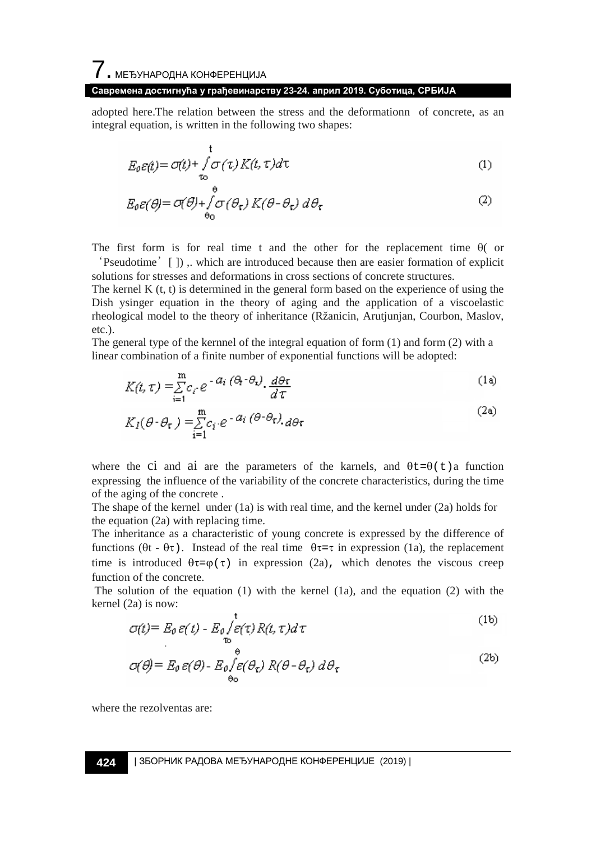#### **Савремена достигнућа у грађевинарству 23-24. април 2019. Суботица, СРБИЈА**

adopted here.The relation between the stress and the deformationn of concrete, as an integral equation, is written in the following two shapes:

$$
E_0 \varepsilon(t) = \sigma(t) + \int_{-\infty}^{t} \sigma(\tau) K(t, \tau) d\tau
$$
\n(1)

$$
E_0 \varepsilon(\theta) = \sigma(\theta) + \int_{\theta_0}^{\theta} \sigma(\theta_\tau) K(\theta - \theta_\tau) d\theta_\tau
$$
 (2)

The first form is for real time t and the other for the replacement time  $\theta$  or 'Pseudotime'[ ]) ,. which are introduced because then are easier formation of explicit solutions for stresses and deformations in cross sections of concrete structures.

The kernel  $K(t, t)$  is determined in the general form based on the experience of using the Dish ysinger equation in the theory of aging and the application of a viscoelastic rheological model to the theory of inheritance (Ržanicin, Arutjunjan, Courbon, Maslov, etc.).

The general type of the kernnel of the integral equation of form (1) and form (2) with a linear combination of a finite number of exponential functions will be adopted:

$$
K(t,\tau) = \sum_{i=1}^{m} c_i e^{-\alpha_i (\theta_i - \theta_i)} \cdot \frac{d\theta \tau}{d\tau}
$$
 (1a)

$$
K_I(\theta \cdot \theta_r) = \sum_{i=1}^{m} c_i \cdot e^{-a_i (\theta \cdot \theta_r)} d\theta_r
$$
 (2a)

where the ci and ai are the parameters of the karnels, and  $\theta t = \theta(t)$  function expressing the influence of the variability of the concrete characteristics, during the time of the aging of the concrete .

The shape of the kernel under (1a) is with real time, and the kernel under (2a) holds for the equation (2a) with replacing time.

The inheritance as a characteristic of young concrete is expressed by the difference of functions ( $\theta$ t -  $\theta$ τ). Instead of the real time  $\theta$ τ=τ in expression (1a), the replacement time is introduced  $\theta \tau = \varphi(\tau)$  in expression (2a), which denotes the viscous creep function of the concrete.

The solution of the equation  $(1)$  with the kernel  $(1a)$ , and the equation  $(2)$  with the kernel (2a) is now:

$$
\sigma(t) = E_0 \, \varepsilon(t) - E_0 \int_{-\infty}^{t} \varepsilon(\tau) \, R(t, \tau) d\tau \tag{1b}
$$

$$
\sigma(\theta) = E_0 \, \varepsilon(\theta) - E_0 \int_{\theta_0}^{\theta} \varepsilon(\theta_\tau) \, R(\theta - \theta_\tau) \, d\theta_\tau \tag{2b}
$$

where the rezolventas are: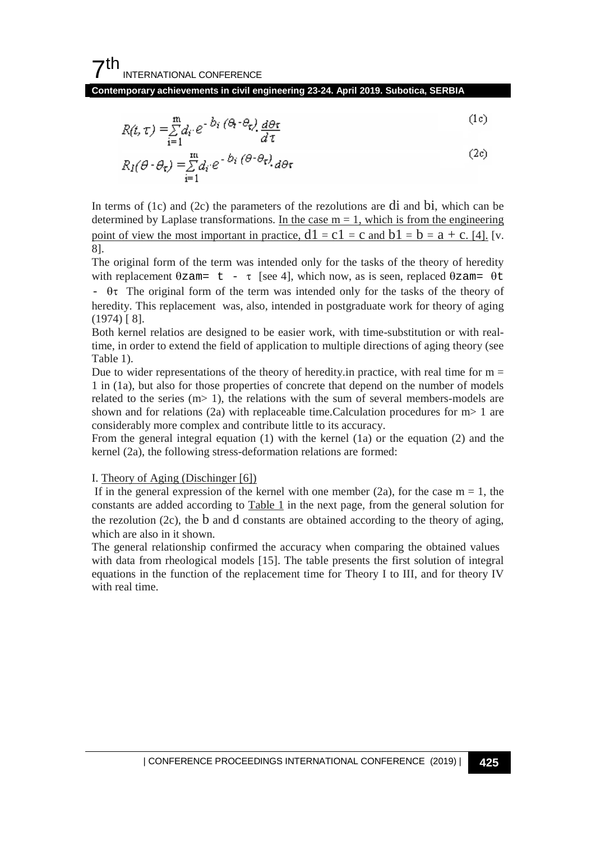#### **Contemporary achievements in civil engineering 23-24. April 2019. Subotica, SERBIA**

$$
R(t, \tau) = \sum_{i=1}^{m} d_i \cdot e^{-b_i (\Theta_i - \Theta_{\tau})} \frac{d\Theta_{\tau}}{d\tau}
$$
 (1c)

$$
R_I(\theta \cdot \theta_{\tau}) = \sum_{i=1}^{m} d_i e^{-b_i (\theta \cdot \theta_{\tau})} d\theta_{\tau}
$$
 (2c)

In terms of (1c) and (2c) the parameters of the rezolutions are di and bi, which can be determined by Laplase transformations. In the case  $m = 1$ , which is from the engineering point of view the most important in practice,  $d1 = c1 = c$  and  $b1 = b = a + c$ . [4]. [v. 8].

The original form of the term was intended only for the tasks of the theory of heredity with replacement  $\theta$ zam= t - τ [see 4], which now, as is seen, replaced  $\theta$ zam=  $\theta$ t - θτ The original form of the term was intended only for the tasks of the theory of heredity. This replacement was, also, intended in postgraduate work for theory of aging (1974) [ 8].

Both kernel relatios are designed to be easier work, with time-substitution or with realtime, in order to extend the field of application to multiple directions of aging theory (see Table 1).

Due to wider representations of the theory of heredity. In practice, with real time for  $m =$ 1 in (1a), but also for those properties of concrete that depend on the number of models related to the series  $(m> 1)$ , the relations with the sum of several members-models are shown and for relations (2a) with replaceable time. Calculation procedures for  $m > 1$  are considerably more complex and contribute little to its accuracy.

From the general integral equation (1) with the kernel (1a) or the equation (2) and the kernel (2a), the following stress-deformation relations are formed:

#### I. Theory of Aging (Dischinger [6])

If in the general expression of the kernel with one member (2a), for the case  $m = 1$ , the constants are added according to  $Table 1$  in the next page, from the general solution for the rezolution (2c), the b and d constants are obtained according to the theory of aging, which are also in it shown.

The general relationship confirmed the accuracy when comparing the obtained values with data from rheological models [15]. The table presents the first solution of integral equations in the function of the replacement time for Theory I to III, and for theory IV with real time.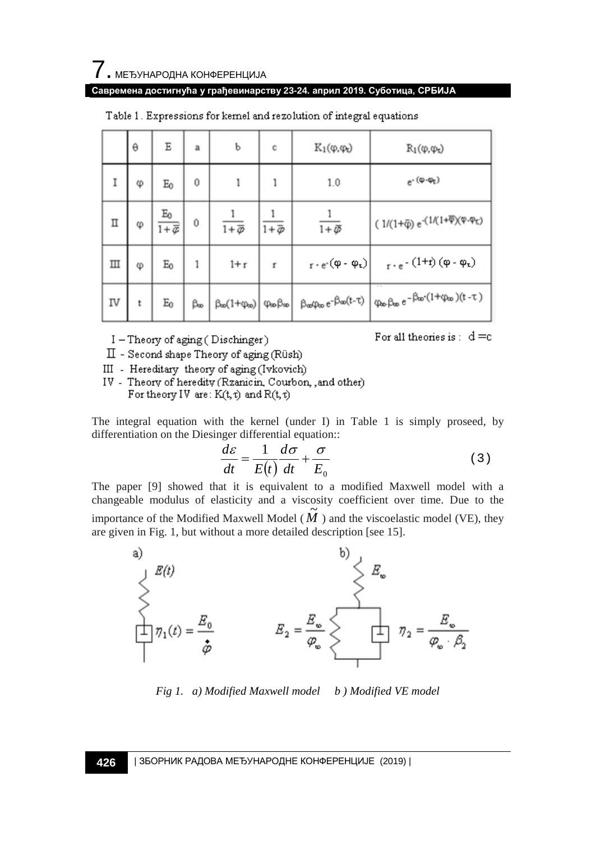## **Савремена достигнућа у грађевинарству 23-24. април 2019. Суботица, СРБИЈА**

|    | θ | Ε                                                       | a  | b                                                                | c                                 | $K_1(\varphi,\varphi_t)$                                            | $R_1(\phi,\phi_t)$                                                                                                                                                                                                        |
|----|---|---------------------------------------------------------|----|------------------------------------------------------------------|-----------------------------------|---------------------------------------------------------------------|---------------------------------------------------------------------------------------------------------------------------------------------------------------------------------------------------------------------------|
|    | φ | $E_0$                                                   | Û  | 1                                                                | 1                                 | 1.0                                                                 | $e^{\text{-}\,(\phi\cdot\phi_t)}$                                                                                                                                                                                         |
| Π  | φ | $\mathrm{E}_0$<br>$\overline{1+\overline{\mathcal{G}}}$ | Û  | $\overline{1+\overline{\varphi}}$                                | $\overline{1+\overline{\varphi}}$ | $1+\overline{\varphi}$                                              | ( $1/(1+\overline{\phi})e^{-(1/(1+\overline{\phi})(\phi-\phi_{\zeta}))}$                                                                                                                                                  |
| Ш  | φ | Eo                                                      | 1  | $1+r$                                                            | r                                 |                                                                     | $\left. \begin{array}{cc} r \cdot e^{\cdot \left(\phi \ - \ \phi_t\right)} \end{array} \right  \quad \left. \begin{array}{cc} r \cdot e^{\cdot \ \left(1 + r\right)\,\left(\phi \ - \ \phi_t\right)} \end{array} \right.$ |
| IV | t | $E_0$                                                   | βω | $\beta_{00}(1+\phi_{00})\left[\right.\phi_{00}\beta_{00}\right]$ |                                   | $\beta_{\infty}\phi_{\infty}\,\mathrm{e}^{-\beta_{\infty}(t-\tau)}$ | $\phi_{\infty} \beta_{\infty} e^{-\beta_{\infty} (1 + \phi_{\infty}) (t - \tau)}$                                                                                                                                         |

Table 1. Expressions for kernel and rezolution of integral equations

I-Theory of aging (Dischinger)

For all theories is:  $d = c$ 

 $\Pi$  - Second shape Theory of aging (Rüsh)

III - Hereditary theory of aging (Ivkovich)

IV - Theory of heredity (Rzanicin, Courbon, , and other) For theory IV are:  $K(t, \tau)$  and  $R(t, \tau)$ 

The integral equation with the kernel (under I) in Table 1 is simply proseed, by differentiation on the Diesinger differential equation::

$$
\frac{d\varepsilon}{dt} = \frac{1}{E(t)} \frac{d\sigma}{dt} + \frac{\sigma}{E_0}
$$
 (3)

The paper [9] showed that it is equivalent to a modified Maxwell model with a changeable modulus of elasticity and a viscosity coefficient over time. Due to the importance of the Modified Maxwell Model  $(\tilde{M})$  and the viscoelastic model (VE), they are given in Fig. 1, but without a more detailed description [see 15].



*Fig 1. a) Modified Maxwell model b ) Modified VE model*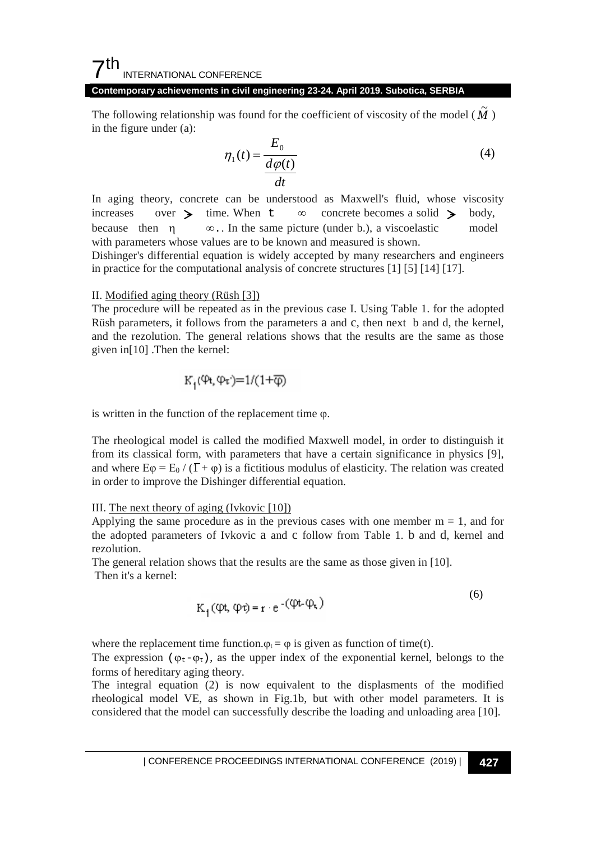#### **Contemporary achievements in civil engineering 23-24. April 2019. Subotica, SERBIA**

The following relationship was found for the coefficient of viscosity of the model ( $\widetilde{M}$ ) in the figure under (a):

$$
\eta_1(t) = \frac{E_0}{\frac{d\varphi(t)}{dt}}\tag{4}
$$

In aging theory, concrete can be understood as Maxwell's fluid, whose viscosity increases over  $\rightarrow$  time. When  $t \propto$  concrete becomes a solid  $\rightarrow$  body, because then  $\eta \infty$ . In the same picture (under b.), a viscoelastic model with parameters whose values are to be known and measured is shown.

Dishinger's differential equation is widely accepted by many researchers and engineers in practice for the computational analysis of concrete structures [1] [5] [14] [17].

#### II. Modified aging theory (Rüsh [3])

The procedure will be repeated as in the previous case I. Using Table 1. for the adopted Rüsh parameters, it follows from the parameters a and c, then next b and d, the kernel, and the rezolution. The general relations shows that the results are the same as those given in[10] .Then the kernel:

$$
K_1(\Phi, \Phi_r)=1/(1+\overline{\phi})
$$

is written in the function of the replacement time  $\varphi$ .

The rheological model is called the modified Maxwell model, in order to distinguish it from its classical form, with parameters that have a certain significance in physics [9], and where  $E\varphi = E_0 / (\Gamma + \varphi)$  is a fictitious modulus of elasticity. The relation was created in order to improve the Dishinger differential equation.

#### III. The next theory of aging (Ivkovic [10])

Applying the same procedure as in the previous cases with one member  $m = 1$ , and for the adopted parameters of Ivkovic a and c follow from Table 1. b and d, kernel and rezolution.

The general relation shows that the results are the same as those given in [10]. Then it's a kernel:

$$
K_{1}(\phi t, \phi \tau) = r \cdot e^{-\left(\phi t - \phi_{t}\right)}
$$

 $(6)$ 

where the replacement time function. $\varphi_t = \varphi$  is given as function of time(t).

The expression ( $\varphi_t - \varphi_t$ ), as the upper index of the exponential kernel, belongs to the forms of hereditary aging theory.

The integral equation (2) is now equivalent to the displasments of the modified rheological model VE, as shown in Fig.1b, but with other model parameters. It is considered that the model can successfully describe the loading and unloading area [10].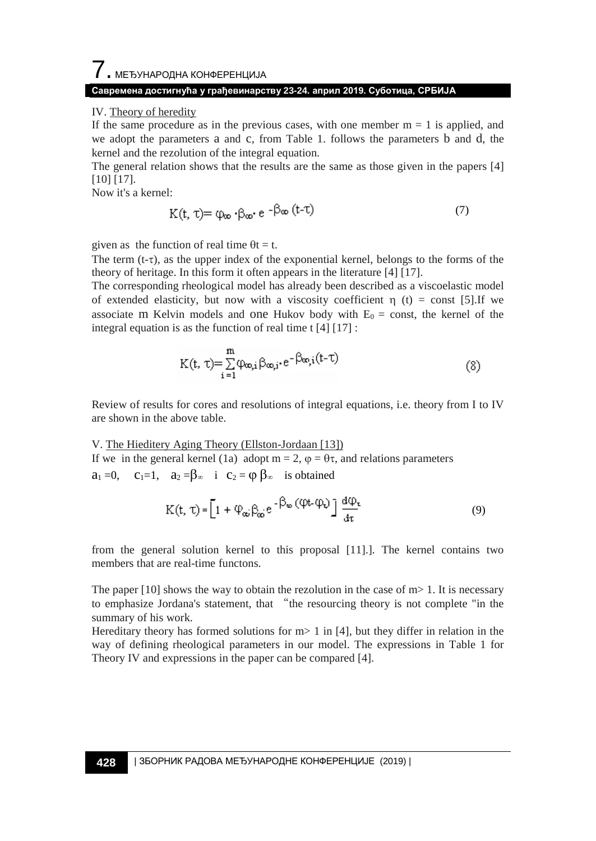# $\overline{7}$ . МЕЂУНАРОДНА КОНФЕРЕНЦИЈА

## **Савремена достигнућа у грађевинарству 23-24. април 2019. Суботица, СРБИЈА**

#### IV. Theory of heredity

If the same procedure as in the previous cases, with one member  $m = 1$  is applied, and we adopt the parameters a and c, from Table 1. follows the parameters b and d, the kernel and the rezolution of the integral equation.

The general relation shows that the results are the same as those given in the papers [4] [10] [17].

Now it's a kernel:

$$
K(t, \tau) = \phi_{\infty} \cdot \beta_{\infty} \cdot e^{-\beta_{\infty} (t - \tau)} \tag{7}
$$

given as the function of real time  $\theta t = t$ .

The term  $(t-\tau)$ , as the upper index of the exponential kernel, belongs to the forms of the theory of heritage. In this form it often appears in the literature [4] [17].

The corresponding rheological model has already been described as a viscoelastic model of extended elasticity, but now with a viscosity coefficient  $\eta$  (t) = const [5]. If we associate m Kelvin models and one Hukov body with  $E_0 = \text{const}$ , the kernel of the integral equation is as the function of real time t [4] [17] :

$$
K(t, \tau) = \sum_{i=1}^{m} \phi_{\infty,i} \beta_{\infty,i} e^{-\beta_{\infty,i}(t-\tau)} \tag{8}
$$

Review of results for cores and resolutions of integral equations, i.e. theory from I to IV are shown in the above table.

V. The Hieditery Aging Theory (Ellston-Jordaan [13]) If we in the general kernel (1a) adopt  $m = 2$ ,  $\varphi = \theta \tau$ , and relations parameters  $a_1 = 0$ ,  $c_1 = 1$ ,  $a_2 = \beta_{\infty}$  i  $c_2 = \varphi \beta_{\infty}$  is obtained

$$
K(t, \tau) = \left[1 + \phi_{\infty} \beta_{\infty} e^{-\beta_{\infty} (\phi t - \phi_{\nu})} \right] \frac{d\phi_{\tau}}{d\tau}
$$
(9)

from the general solution kernel to this proposal [11].]. The kernel contains two members that are real-time functons.

The paper  $[10]$  shows the way to obtain the rezolution in the case of m i. It is necessary to emphasize Jordana's statement, that "the resourcing theory is not complete "in the summary of his work.

Hereditary theory has formed solutions for  $m > 1$  in [4], but they differ in relation in the way of defining rheological parameters in our model. The expressions in Table 1 for Theory IV and expressions in the paper can be compared [4].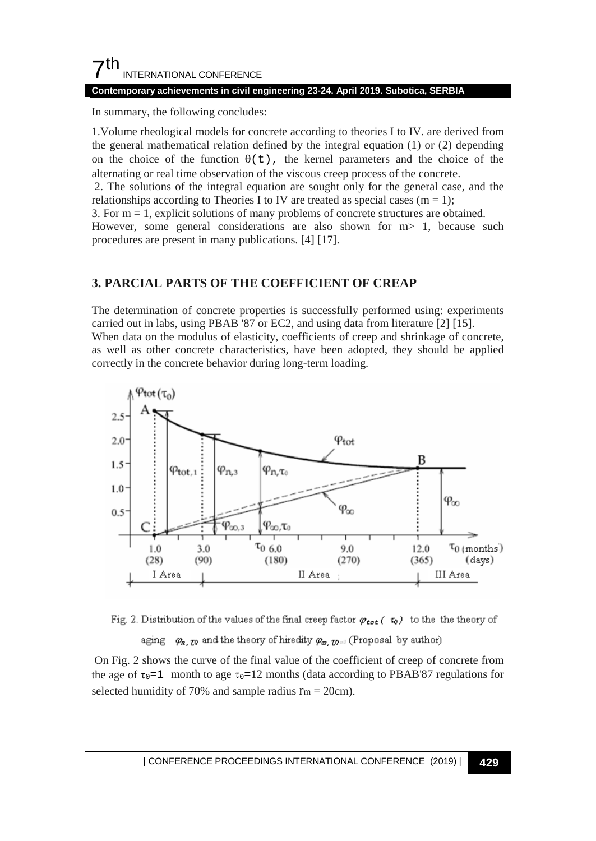## **Contemporary achievements in civil engineering 23-24. April 2019. Subotica, SERBIA**

In summary, the following concludes:

1.Volume rheological models for concrete according to theories I to IV. are derived from the general mathematical relation defined by the integral equation (1) or (2) depending on the choice of the function  $\theta(t)$ , the kernel parameters and the choice of the alternating or real time observation of the viscous creep process of the concrete.

2. The solutions of the integral equation are sought only for the general case, and the relationships according to Theories I to IV are treated as special cases ( $m = 1$ );

3. For m = 1, explicit solutions of many problems of concrete structures are obtained.

However, some general considerations are also shown for m> 1, because such procedures are present in many publications. [4] [17].

## **3. PARCIAL PARTS OF THE COEFFICIENT OF CREAP**

The determination of concrete properties is successfully performed using: experiments carried out in labs, using PBAB '87 or EC2, and using data from literature [2] [15]. When data on the modulus of elasticity, coefficients of creep and shrinkage of concrete, as well as other concrete characteristics, have been adopted, they should be applied correctly in the concrete behavior during long-term loading.





aging  $\varphi_{\mathbf{z},z0}$  and the theory of hiredity  $\varphi_{\mathbf{z},z0}$ . (Proposal by author)

On Fig. 2 shows the curve of the final value of the coefficient of creep of concrete from the age of  $\tau_0$ =1 month to age  $\tau_0$ =12 months (data according to PBAB'87 regulations for selected humidity of 70% and sample radius  $r_m = 20$ cm).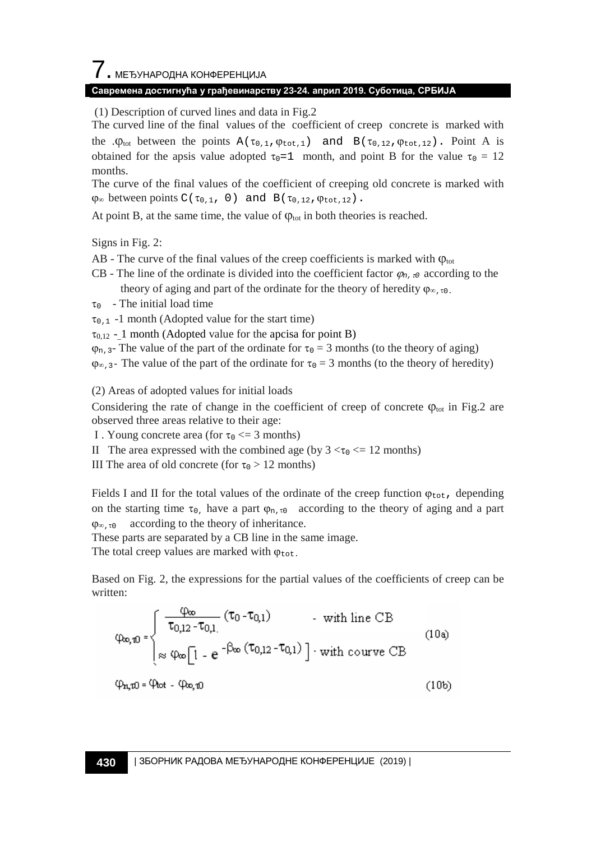## $\overline{\phantom{a}}$ . МЕЂУНАРОДНА КОНФЕРЕНЦИЈА

## **Савремена достигнућа у грађевинарству 23-24. април 2019. Суботица, СРБИЈА**

(1) Description of curved lines and data in Fig.2

The curved line of the final values of the coefficient of creep concrete is marked with the . $\varphi_{\text{tot}}$  between the points  $A(\tau_{0,1}, \varphi_{\text{tot},1})$  and  $B(\tau_{0,12}, \varphi_{\text{tot},12})$ . Point A is obtained for the apsis value adopted  $\tau_0 = 1$  month, and point B for the value  $\tau_0 = 12$ months.

The curve of the final values of the coefficient of creeping old concrete is marked with  $\varphi_{\infty}$  between points  $C(\tau_{0,1}, 0)$  and  $B(\tau_{0,12}, \varphi_{\text{tot},12})$ .

At point B, at the same time, the value of  $\varphi_{\text{tot}}$  in both theories is reached.

Signs in Fig. 2:

- AB The curve of the final values of the creep coefficients is marked with  $\varphi_{\text{tot}}$
- CB The line of the ordinate is divided into the coefficient factor  $\varphi_n$ ,  $\varphi$  according to the theory of aging and part of the ordinate for the theory of heredity  $\varphi_{\infty, \tau_0}$ .
- $\tau_0$  The initial load time
- $\tau_{0,1}$  -1 month (Adopted value for the start time)

 $\tau_{0,12}$  - 1 month (Adopted value for the apcisa for point B)

- $\varphi_{n,3}$  The value of the part of the ordinate for  $\tau_0 = 3$  months (to the theory of aging)
- $\varphi_{\infty,3}$  The value of the part of the ordinate for  $\tau_0 = 3$  months (to the theory of heredity)

(2) Areas of adopted values for initial loads

Considering the rate of change in the coefficient of creep of concrete  $\varphi_{\text{tot}}$  in Fig.2 are observed three areas relative to their age:

- I . Young concrete area (for  $\tau_0 \leq 3$  months)
- II The area expressed with the combined age (by  $3 < \tau_0 \leq 12$  months)

III The area of old concrete (for  $\tau_0 > 12$  months)

Fields I and II for the total values of the ordinate of the creep function  $\varphi_{\text{tot}}$ , depending on the starting time  $\tau_0$ , have a part  $\varphi_{n,\tau_0}$  according to the theory of aging and a part ϕ∞,<sup>τ</sup>0 according to the theory of inheritance.

These parts are separated by a CB line in the same image.

The total creep values are marked with  $\varphi_{\text{tot}}$ .

Based on Fig. 2, the expressions for the partial values of the coefficients of creep can be written:

$$
\varphi_{\infty,\tau0} = \begin{cases}\n\frac{\varphi_{\infty}}{\tau_{0,12} - \tau_{0,1}} & \text{with line CB} \\
\approx \varphi_{\infty} \left[1 - e^{-\beta_{\infty}(\tau_{0,12} - \tau_{0,1})}\right] \cdot \text{with curve CB} \\
\varphi_{\tau,\tau0} = \varphi_{\text{tot}} - \varphi_{\infty,\tau0} & (10b)\n\end{cases}
$$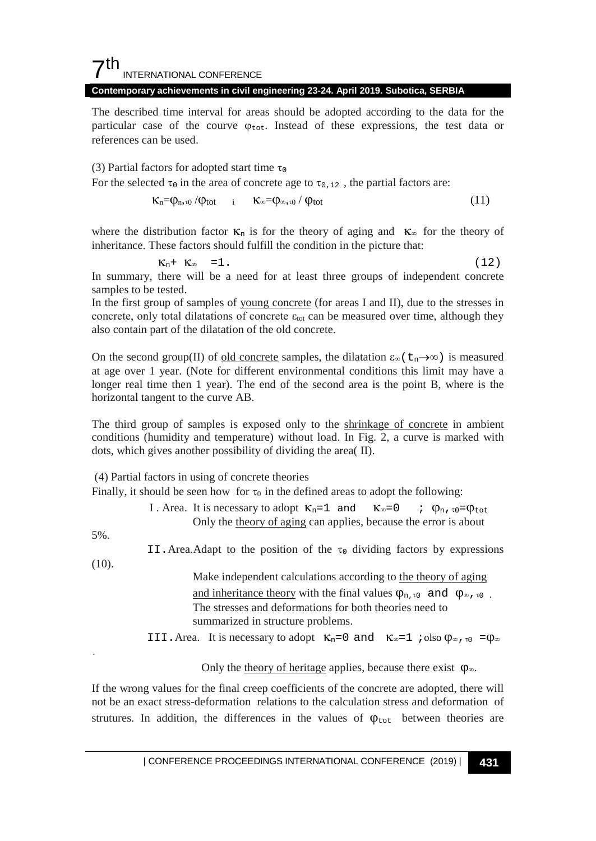## **Contemporary achievements in civil engineering 23-24. April 2019. Subotica, SERBIA**

The described time interval for areas should be adopted according to the data for the particular case of the courve  $\varphi_{\text{tot}}$ . Instead of these expressions, the test data or references can be used.

(3) Partial factors for adopted start time  $\tau_0$ 

For the selected  $\tau_0$  in the area of concrete age to  $\tau_{0,12}$ , the partial factors are:

$$
\kappa_n = \varphi_{n,\tau_0} / \varphi_{tot} \qquad \text{if} \qquad \kappa_{\infty} = \varphi_{\infty,\tau_0} / \varphi_{tot} \tag{11}
$$

where the distribution factor  $\kappa_n$  is for the theory of aging and  $\kappa_{\infty}$  for the theory of inheritance. These factors should fulfill the condition in the picture that:

$$
\mathbf{K}_n + \mathbf{K}_\infty = 1. \tag{12}
$$

In summary, there will be a need for at least three groups of independent concrete samples to be tested.

In the first group of samples of young concrete (for areas I and II), due to the stresses in concrete, only total dilatations of concrete  $\varepsilon_{tot}$  can be measured over time, although they also contain part of the dilatation of the old concrete.

On the second group(II) of <u>old concrete</u> samples, the dilatation  $\varepsilon_{\infty}(\tau_n\to\infty)$  is measured at age over 1 year. (Note for different environmental conditions this limit may have a longer real time then 1 year). The end of the second area is the point B, where is the horizontal tangent to the curve AB.

The third group of samples is exposed only to the shrinkage of concrete in ambient conditions (humidity and temperature) without load. In Fig. 2, a curve is marked with dots, which gives another possibility of dividing the area( II).

(4) Partial factors in using of concrete theories

Finally, it should be seen how for  $\tau_0$  in the defined areas to adopt the following:

I. Area. It is necessary to adopt  $\kappa_n=1$  and  $\kappa_{\infty}=0$  ;  $\varphi_n$ ,  $\tau_0=\varphi_{\text{tot}}$ Only the theory of aging can applies, because the error is about

5%.

II. Area. Adapt to the position of the  $\tau_0$  dividing factors by expressions

 $(10)$ .

.

 Make independent calculations according to the theory of aging and inheritance theory with the final values  $\varphi_{n,\tau_0}$  and  $\varphi_{\infty,\tau_0}$ . The stresses and deformations for both theories need to summarized in structure problems.

III. Area. It is necessary to adopt  $\kappa_n=0$  and  $\kappa_{\infty}=1$  ; olso  $\varphi_{\infty}$ , το = $\varphi_{\infty}$ 

Only the theory of heritage applies, because there exist  $\varphi_{\infty}$ .

If the wrong values for the final creep coefficients of the concrete are adopted, there will not be an exact stress-deformation relations to the calculation stress and deformation of strutures. In addition, the differences in the values of  $\varphi_{\text{tot}}$  between theories are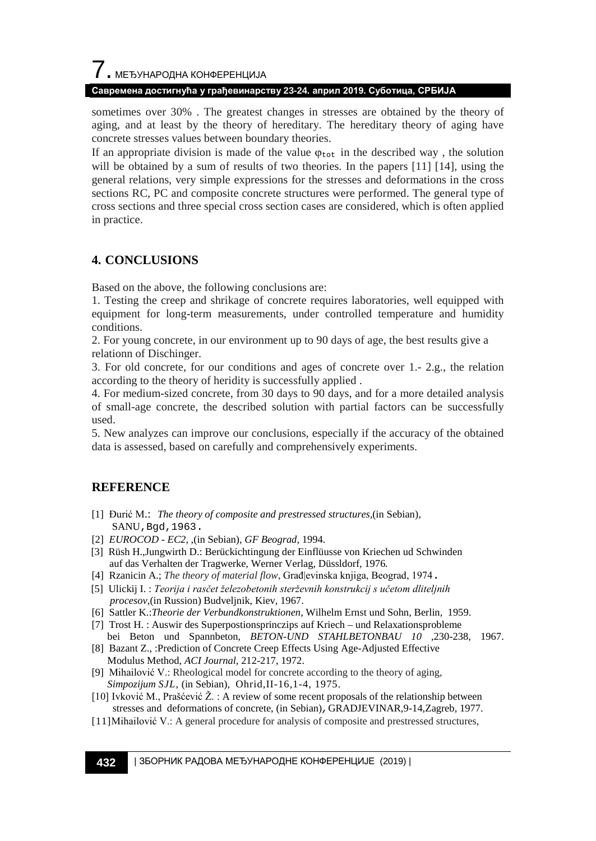## $\overline{\phantom{a}}$ . МЕЂУНАРОДНА КОНФЕРЕНЦИЈА

#### **Савремена достигнућа у грађевинарству 23-24. април 2019. Суботица, СРБИЈА**

sometimes over 30% . The greatest changes in stresses are obtained by the theory of aging, and at least by the theory of hereditary. The hereditary theory of aging have concrete stresses values between boundary theories.

If an appropriate division is made of the value  $\varphi_{\text{tot}}$  in the described way, the solution will be obtained by a sum of results of two theories. In the papers [11] [14], using the general relations, very simple expressions for the stresses and deformations in the cross sections RC, PC and composite concrete structures were performed. The general type of cross sections and three special cross section cases are considered, which is often applied in practice.

## **4. CONCLUSIONS**

Based on the above, the following conclusions are:

1. Testing the creep and shrikage of concrete requires laboratories, well equipped with equipment for long-term measurements, under controlled temperature and humidity conditions.

2. For young concrete, in our environment up to 90 days of age, the best results give a relationn of Dischinger.

3. For old concrete, for our conditions and ages of concrete over 1.- 2.g., the relation according to the theory of heridity is successfully applied .

4. For medium-sized concrete, from 30 days to 90 days, and for a more detailed analysis of small-age concrete, the described solution with partial factors can be successfully used.

5. New analyzes can improve our conclusions, especially if the accuracy of the obtained data is assessed, based on carefully and comprehensively experiments.

## **REFERENCE**

- [1] Đurić M.: *The theory of composite and prestressed structures,*(in Sebian)*,* SANU, Bgd, 1963.
- [2] *EUROCOD - EC2, ,*(in Sebian)*, GF Beograd,* 1994.
- [3] Rüsh H.,Jungwirth D.: Berückichtingung der Einflüusse von Kriechen ud Schwinden auf das Verhalten der Tragwerke*,* Werner Verlag, Düssldorf*,* 1976*.*
- [4] Rzanicin A.; *The theory of material flow*, Građ|evinska knjiga, Beograd, 1974.
- [5] Ulickij I. : *Teorija i rasčet železobetonih sterževnih konstrukcij s učetom dliteljnih procesov*,(in Russion) Budveljnik, Kiev, 1967.
- [6] Sattler K.:*Theorie der Verbundkonstruktionen*, Wilhelm Ernst und Sohn, Berlin, 1959.
- [7] Trost H. : Auswir des Superpostionsprinczips auf Kriech und Relaxationsprobleme bei Beton und Spannbeton, *BETON-UND STAHLBETONBAU 10 ,*230-238, 1967.
- [8] Bazant Z., :Prediction of Concrete Creep Effects Using Age-Adjusted Effective Modulus Method, *ACI Journal*, 212-217, 1972.
- [9] Mihailović V.: Rheological model for concrete according to the theory of aging,  *Simpozijum SJL*, (in Sebian)*,* Ohrid,II-16,1-4, 1975.
- [10] Ivković M., Prašćević Ž. : A review of some recent proposals of the relationship between stresses and deformations of concrete, (in Sebian)*,*GRADJEVINAR,9-14,Zagreb, 1977.
- [11]Mihailović V.: A general procedure for analysis of composite and prestressed structures,